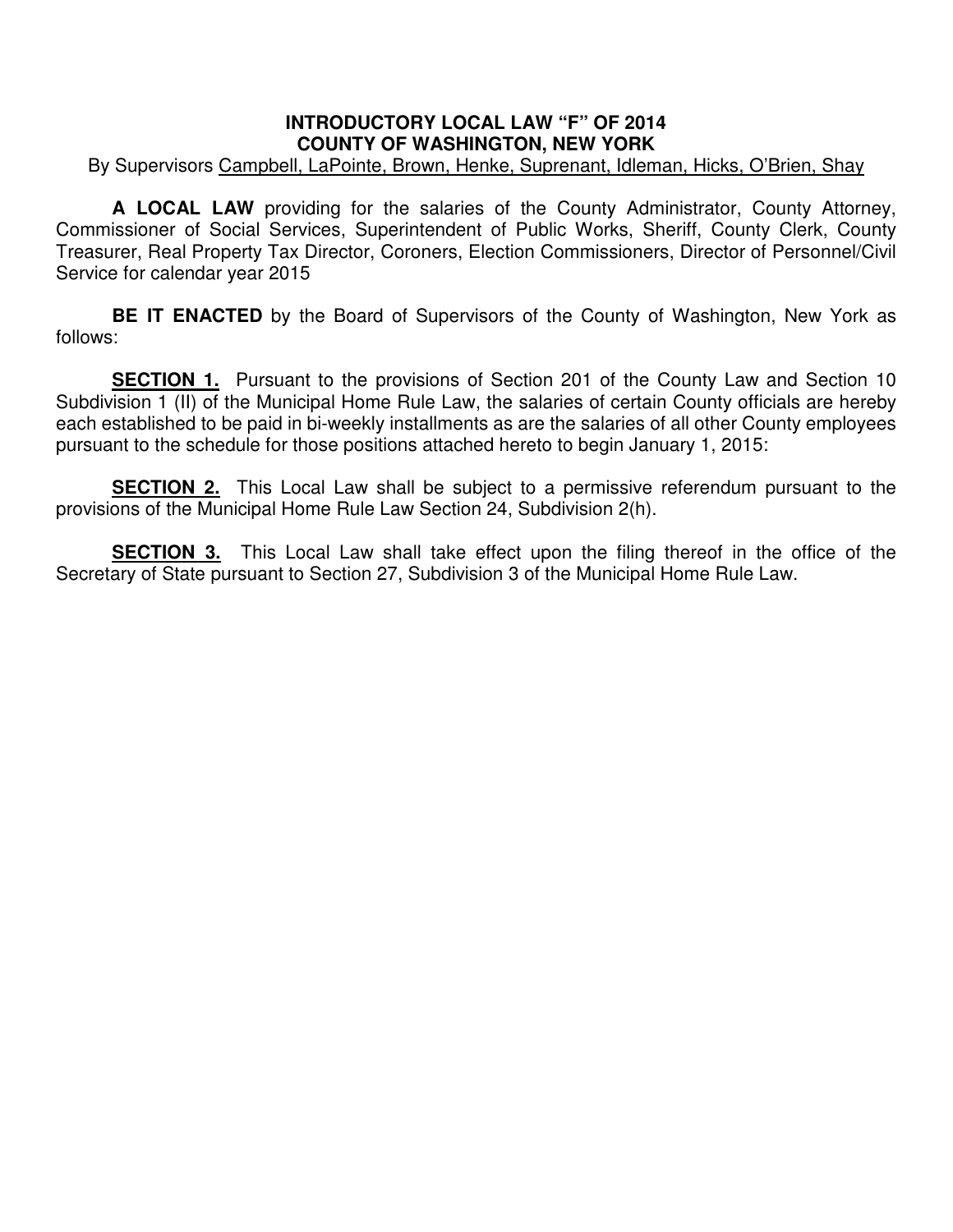## **INTRODUCTORY LOCAL LAW "F" OF 2014 COUNTY OF WASHINGTON, NEW YORK**

By Supervisors Campbell, LaPointe, Brown, Henke, Suprenant, Idleman, Hicks, O'Brien, Shay

 **A LOCAL LAW** providing for the salaries of the County Administrator, County Attorney, Commissioner of Social Services, Superintendent of Public Works, Sheriff, County Clerk, County Treasurer, Real Property Tax Director, Coroners, Election Commissioners, Director of Personnel/Civil Service for calendar year 2015

**BE IT ENACTED** by the Board of Supervisors of the County of Washington, New York as follows:

**SECTION 1.** Pursuant to the provisions of Section 201 of the County Law and Section 10 Subdivision 1 (II) of the Municipal Home Rule Law, the salaries of certain County officials are hereby each established to be paid in bi-weekly installments as are the salaries of all other County employees pursuant to the schedule for those positions attached hereto to begin January 1, 2015:

**SECTION 2.** This Local Law shall be subject to a permissive referendum pursuant to the provisions of the Municipal Home Rule Law Section 24, Subdivision 2(h).

**SECTION 3.** This Local Law shall take effect upon the filing thereof in the office of the Secretary of State pursuant to Section 27, Subdivision 3 of the Municipal Home Rule Law.